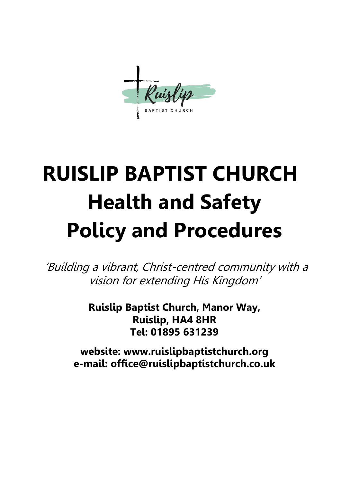# **RUISLIP BAPTIST CHURCH Health and Safety Policy and Procedures**

'Building a vibrant, Christ-centred community with a vision for extending His Kingdom'

> **Ruislip Baptist Church, Manor Way, Ruislip, HA4 8HR Tel: 01895 631239**

**website: www.ruislipbaptistchurch.org e-mail: office@ruislipbaptistchurch.co.uk**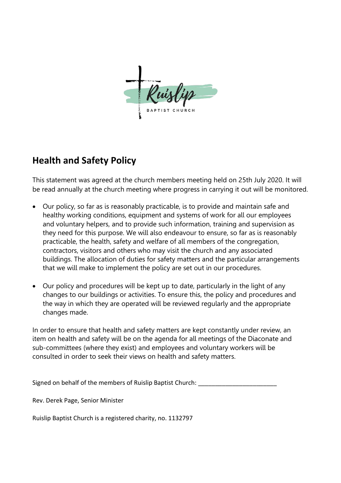

# **Health and Safety Policy**

This statement was agreed at the church members meeting held on 25th July 2020. It will be read annually at the church meeting where progress in carrying it out will be monitored.

- Our policy, so far as is reasonably practicable, is to provide and maintain safe and healthy working conditions, equipment and systems of work for all our employees and voluntary helpers, and to provide such information, training and supervision as they need for this purpose. We will also endeavour to ensure, so far as is reasonably practicable, the health, safety and welfare of all members of the congregation, contractors, visitors and others who may visit the church and any associated buildings. The allocation of duties for safety matters and the particular arrangements that we will make to implement the policy are set out in our procedures.
- Our policy and procedures will be kept up to date, particularly in the light of any changes to our buildings or activities. To ensure this, the policy and procedures and the way in which they are operated will be reviewed regularly and the appropriate changes made.

In order to ensure that health and safety matters are kept constantly under review, an item on health and safety will be on the agenda for all meetings of the Diaconate and sub-committees (where they exist) and employees and voluntary workers will be consulted in order to seek their views on health and safety matters.

Signed on behalf of the members of Ruislip Baptist Church:

Rev. Derek Page, Senior Minister

Ruislip Baptist Church is a registered charity, no. 1132797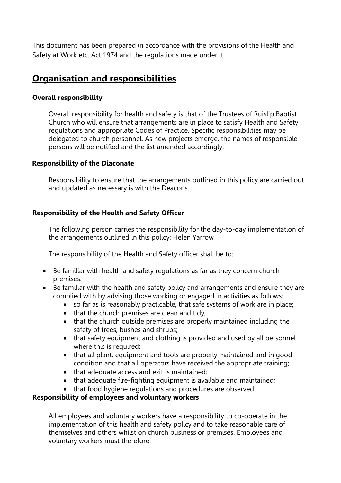This document has been prepared in accordance with the provisions of the Health and Safety at Work etc. Act 1974 and the regulations made under it.

# **Organisation and responsibilities**

# **Overall responsibility**

Overall responsibility for health and safety is that of the Trustees of Ruislip Baptist Church who will ensure that arrangements are in place to satisfy Health and Safety regulations and appropriate Codes of Practice. Specific responsibilities may be delegated to church personnel. As new projects emerge, the names of responsible persons will be notified and the list amended accordingly.

# **Responsibility of the Diaconate**

Responsibility to ensure that the arrangements outlined in this policy are carried out and updated as necessary is with the Deacons.

# **Responsibility of the Health and Safety Officer**

The following person carries the responsibility for the day-to-day implementation of the arrangements outlined in this policy: Helen Yarrow

The responsibility of the Health and Safety officer shall be to:

- Be familiar with health and safety regulations as far as they concern church premises.
- Be familiar with the health and safety policy and arrangements and ensure they are complied with by advising those working or engaged in activities as follows:
	- so far as is reasonably practicable, that safe systems of work are in place;
	- that the church premises are clean and tidy;
	- that the church outside premises are properly maintained including the safety of trees, bushes and shrubs;
	- that safety equipment and clothing is provided and used by all personnel where this is required;
	- that all plant, equipment and tools are properly maintained and in good condition and that all operators have received the appropriate training;
	- that adequate access and exit is maintained;
	- that adequate fire-fighting equipment is available and maintained;
	- that food hygiene regulations and procedures are observed.

# **Responsibility of employees and voluntary workers**

All employees and voluntary workers have a responsibility to co-operate in the implementation of this health and safety policy and to take reasonable care of themselves and others whilst on church business or premises. Employees and voluntary workers must therefore: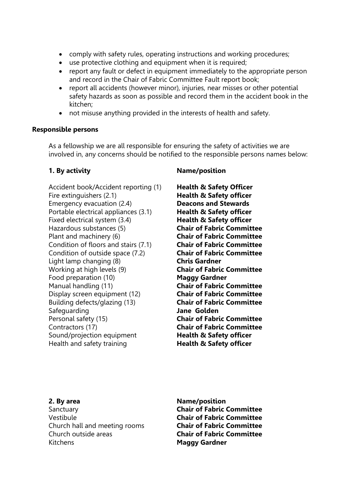- comply with safety rules, operating instructions and working procedures;
- use protective clothing and equipment when it is required;
- report any fault or defect in equipment immediately to the appropriate person and record in the Chair of Fabric Committee Fault report book;
- report all accidents (however minor), injuries, near misses or other potential safety hazards as soon as possible and record them in the accident book in the kitchen;
- not misuse anything provided in the interests of health and safety.

#### **Responsible persons**

As a fellowship we are all responsible for ensuring the safety of activities we are involved in, any concerns should be notified to the responsible persons names below:

Accident book/Accident reporting (1) Health & Safety Officer Fire extinguishers (2.1) **Health & Safety officer** Emergency evacuation (2.4) **Deacons and Stewards** Portable electrical appliances (3.1) **Health & Safety officer** Fixed electrical system (3.4) **Health & Safety officer** Hazardous substances (5) **Chair of Fabric Committee** Plant and machinery (6) **Chair of Fabric Committee** Condition of floors and stairs (7.1) **Chair of Fabric Committee** Condition of outside space (7.2) **Chair of Fabric Committee** Light lamp changing (8) **Chris Gardner** Working at high levels (9) **Chair of Fabric Committee** Food preparation (10) **Maggy Gardner** Manual handling (11) **Chair of Fabric Committee** Display screen equipment (12) **Chair of Fabric Committee** Building defects/glazing (13) **Chair of Fabric Committee** Safeguarding **Jane Golden** Personal safety (15) **Chair of Fabric Committee** Contractors (17) **Chair of Fabric Committee** Sound/projection equipment **Health & Safety officer** Health and safety training **Health & Safety officer** 

# **1. By activity Name/position**

Sanctuary **Chair of Fabric Committee** Vestibule **Chair of Fabric Committee** Church hall and meeting rooms **Chair of Fabric Committee** Church outside areas **Chair of Fabric Committee** Kitchens **Maggy Gardner**

**2. By area Name/position**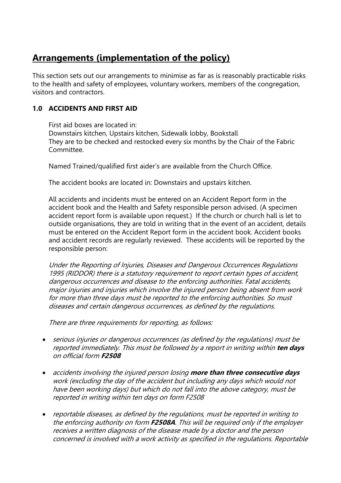# **Arrangements (implementation of the policy)**

This section sets out our arrangements to minimise as far as is reasonably practicable risks to the health and safety of employees, voluntary workers, members of the congregation, visitors and contractors.

# **1.0 ACCIDENTS AND FIRST AID**

First aid boxes are located in: Downstairs kitchen, Upstairs kitchen, Sidewalk lobby, Bookstall They are to be checked and restocked every six months by the Chair of the Fabric Committee.

Named Trained/qualified first aider's are available from the Church Office.

The accident books are located in: Downstairs and upstairs kitchen.

All accidents and incidents must be entered on an Accident Report form in the accident book and the Health and Safety responsible person advised. (A specimen accident report form is available upon request.) If the church or church hall is let to outside organisations, they are told in writing that in the event of an accident, details must be entered on the Accident Report form in the accident book. Accident books and accident records are regularly reviewed. These accidents will be reported by the responsible person:

Under the Reporting of Injuries, Diseases and Dangerous Occurrences Regulations 1995 (RIDDOR) there is a statutory requirement to report certain types of accident, dangerous occurrences and disease to the enforcing authorities. Fatal accidents, major injuries and injuries which involve the injured person being absent from work for more than three days must be reported to the enforcing authorities. So must diseases and certain dangerous occurrences, as defined by the regulations.

There are three requirements for reporting, as follows:

- serious injuries or dangerous occurrences (as defined by the regulations) must be reported immediately. This must be followed by a report in writing within **ten days**  on official form **F2508**
- accidents involving the injured person losing **more than three consecutive days**  work (excluding the day of the accident but including any days which would not have been working days) but which do not fall into the above category, must be reported in writing within ten days on form F2508
- reportable diseases, as defined by the regulations, must be reported in writing to the enforcing authority on form **F2508A**. This will be required only if the employer receives a written diagnosis of the disease made by a doctor and the person concerned is involved with a work activity as specified in the regulations. Reportable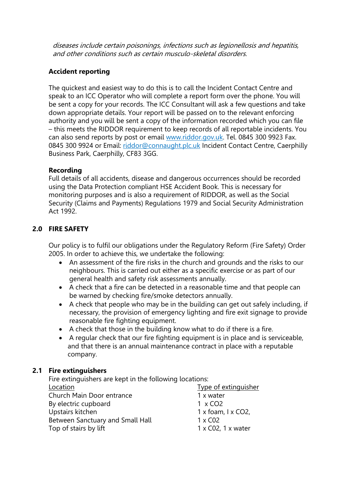diseases include certain poisonings, infections such as legionellosis and hepatitis, and other conditions such as certain musculo-skeletal disorders.

# **Accident reporting**

The quickest and easiest way to do this is to call the Incident Contact Centre and speak to an ICC Operator who will complete a report form over the phone. You will be sent a copy for your records. The ICC Consultant will ask a few questions and take down appropriate details. Your report will be passed on to the relevant enforcing authority and you will be sent a copy of the information recorded which you can file – this meets the RIDDOR requirement to keep records of all reportable incidents. You can also send reports by post or email [www.riddor.gov.uk.](http://www.riddor.gov.uk/) Tel. 0845 300 9923 Fax. 0845 300 9924 or Email: [riddor@connaught.plc.uk](mailto:riddor@connaught.plc.uk) Incident Contact Centre, Caerphilly Business Park, Caerphilly, CF83 3GG.

# **Recording**

Full details of all accidents, disease and dangerous occurrences should be recorded using the Data Protection compliant HSE Accident Book. This is necessary for monitoring purposes and is also a requirement of RIDDOR, as well as the Social Security (Claims and Payments) Regulations 1979 and Social Security Administration Act 1992.

# **2.0 FIRE SAFETY**

Our policy is to fulfil our obligations under the Regulatory Reform (Fire Safety) Order 2005. In order to achieve this, we undertake the following:

- An assessment of the fire risks in the church and grounds and the risks to our neighbours. This is carried out either as a specific exercise or as part of our general health and safety risk assessments annually.
- A check that a fire can be detected in a reasonable time and that people can be warned by checking fire/smoke detectors annually.
- A check that people who may be in the building can get out safely including, if necessary, the provision of emergency lighting and fire exit signage to provide reasonable fire fighting equipment.
- A check that those in the building know what to do if there is a fire.
- A regular check that our fire fighting equipment is in place and is serviceable, and that there is an annual maintenance contract in place with a reputable company.

# **2.1 Fire extinguishers**

Fire extinguishers are kept in the following locations:

| Location                         | <b>Type of extinguisher</b>       |
|----------------------------------|-----------------------------------|
| Church Main Door entrance        | 1 x water                         |
| By electric cupboard             | $1 \times CO2$                    |
| Upstairs kitchen                 | 1 x foam, I x CO2,                |
| Between Sanctuary and Small Hall | $1 \times CO2$                    |
| Top of stairs by lift            | $1 \times CO2$ , $1 \times water$ |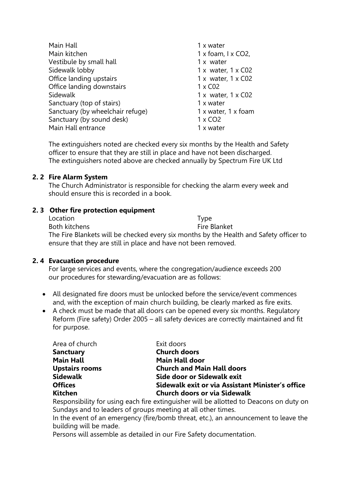| Main Hall                        | 1 x water                  |
|----------------------------------|----------------------------|
| Main kitchen                     | 1 x foam, $1 \times CO2$ , |
| Vestibule by small hall          | 1 x water                  |
| Sidewalk lobby                   | 1 x water, $1 \times CO2$  |
| Office landing upstairs          | 1 x water, $1 \times CO2$  |
| Office landing downstairs        | $1 \times CO2$             |
| Sidewalk                         | 1 x water, $1 \times CO2$  |
| Sanctuary (top of stairs)        | 1 x water                  |
|                                  |                            |
| Sanctuary (by wheelchair refuge) | 1 x water, 1 x foam        |
| Sanctuary (by sound desk)        | $1 \times CO2$             |
| Main Hall entrance               | 1 x water                  |
|                                  |                            |

The extinguishers noted are checked every six months by the Health and Safety officer to ensure that they are still in place and have not been discharged. The extinguishers noted above are checked annually by Spectrum Fire UK Ltd

# **2. 2 Fire Alarm System**

The Church Administrator is responsible for checking the alarm every week and should ensure this is recorded in a book.

# **2. 3 Other fire protection equipment**

| Location                                                                               | Type         |
|----------------------------------------------------------------------------------------|--------------|
| Both kitchens                                                                          | Fire Blanket |
| The Fire Blankets will be checked every six months by the Health and Safety officer to |              |
| ensure that they are still in place and have not been removed.                         |              |

# **2. 4 Evacuation procedure**

For large services and events, where the congregation/audience exceeds 200 our procedures for stewarding/evacuation are as follows:

- All designated fire doors must be unlocked before the service/event commences and, with the exception of main church building, be clearly marked as fire exits.
- A check must be made that all doors can be opened every six months. Regulatory Reform (Fire safety) Order 2005 – all safety devices are correctly maintained and fit for purpose.

| Area of church        | Exit doors                                       |
|-----------------------|--------------------------------------------------|
| <b>Sanctuary</b>      | <b>Church doors</b>                              |
| <b>Main Hall</b>      | <b>Main Hall door</b>                            |
| <b>Upstairs rooms</b> | <b>Church and Main Hall doors</b>                |
| <b>Sidewalk</b>       | Side door or Sidewalk exit                       |
| <b>Offices</b>        | Sidewalk exit or via Assistant Minister's office |
| <b>Kitchen</b>        | <b>Church doors or via Sidewalk</b>              |

Responsibility for using each fire extinguisher will be allotted to Deacons on duty on Sundays and to leaders of groups meeting at all other times.

In the event of an emergency (fire/bomb threat, etc.), an announcement to leave the building will be made.

Persons will assemble as detailed in our Fire Safety documentation.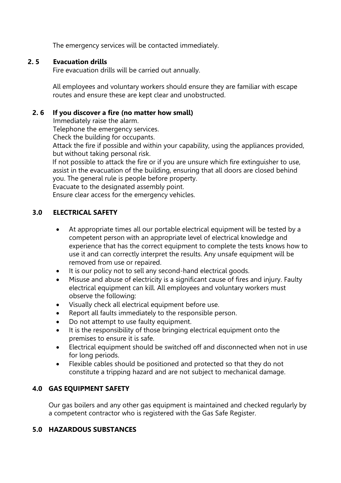The emergency services will be contacted immediately.

#### **2. 5 Evacuation drills**

Fire evacuation drills will be carried out annually.

All employees and voluntary workers should ensure they are familiar with escape routes and ensure these are kept clear and unobstructed.

### **2. 6 If you discover a fire (no matter how small)**

Immediately raise the alarm.

Telephone the emergency services.

Check the building for occupants.

Attack the fire if possible and within your capability, using the appliances provided, but without taking personal risk.

 If not possible to attack the fire or if you are unsure which fire extinguisher to use, assist in the evacuation of the building, ensuring that all doors are closed behind you. The general rule is people before property.

Evacuate to the designated assembly point.

Ensure clear access for the emergency vehicles.

# **3.0 ELECTRICAL SAFETY**

- At appropriate times all our portable electrical equipment will be tested by a competent person with an appropriate level of electrical knowledge and experience that has the correct equipment to complete the tests knows how to use it and can correctly interpret the results. Any unsafe equipment will be removed from use or repaired.
- It is our policy not to sell any second-hand electrical goods.
- Misuse and abuse of electricity is a significant cause of fires and injury. Faulty electrical equipment can kill. All employees and voluntary workers must observe the following:
- Visually check all electrical equipment before use.
- Report all faults immediately to the responsible person.
- Do not attempt to use faulty equipment.
- It is the responsibility of those bringing electrical equipment onto the premises to ensure it is safe.
- Electrical equipment should be switched off and disconnected when not in use for long periods.
- Flexible cables should be positioned and protected so that they do not constitute a tripping hazard and are not subject to mechanical damage.

# **4.0 GAS EQUIPMENT SAFETY**

Our gas boilers and any other gas equipment is maintained and checked regularly by a competent contractor who is registered with the Gas Safe Register.

# **5.0 HAZARDOUS SUBSTANCES**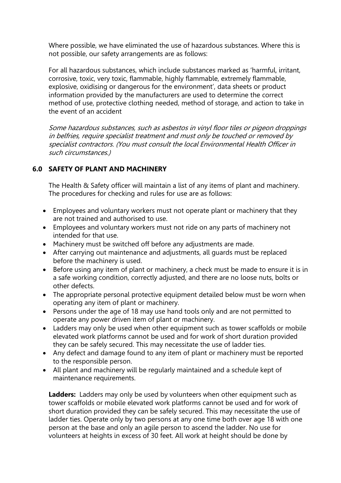Where possible, we have eliminated the use of hazardous substances. Where this is not possible, our safety arrangements are as follows:

For all hazardous substances, which include substances marked as 'harmful, irritant, corrosive, toxic, very toxic, flammable, highly flammable, extremely flammable, explosive, oxidising or dangerous for the environment', data sheets or product information provided by the manufacturers are used to determine the correct method of use, protective clothing needed, method of storage, and action to take in the event of an accident

Some hazardous substances, such as asbestos in vinyl floor tiles or pigeon droppings in belfries, require specialist treatment and must only be touched or removed by specialist contractors. (You must consult the local Environmental Health Officer in such circumstances.)

# **6.0 SAFETY OF PLANT AND MACHINERY**

The Health & Safety officer will maintain a list of any items of plant and machinery. The procedures for checking and rules for use are as follows:

- Employees and voluntary workers must not operate plant or machinery that they are not trained and authorised to use.
- Employees and voluntary workers must not ride on any parts of machinery not intended for that use.
- Machinery must be switched off before any adjustments are made.
- After carrying out maintenance and adjustments, all guards must be replaced before the machinery is used.
- Before using any item of plant or machinery, a check must be made to ensure it is in a safe working condition, correctly adjusted, and there are no loose nuts, bolts or other defects.
- The appropriate personal protective equipment detailed below must be worn when operating any item of plant or machinery.
- Persons under the age of 18 may use hand tools only and are not permitted to operate any power driven item of plant or machinery.
- Ladders may only be used when other equipment such as tower scaffolds or mobile elevated work platforms cannot be used and for work of short duration provided they can be safely secured. This may necessitate the use of ladder ties.
- Any defect and damage found to any item of plant or machinery must be reported to the responsible person.
- All plant and machinery will be regularly maintained and a schedule kept of maintenance requirements.

**Ladders:** Ladders may only be used by volunteers when other equipment such as tower scaffolds or mobile elevated work platforms cannot be used and for work of short duration provided they can be safely secured. This may necessitate the use of ladder ties. Operate only by two persons at any one time both over age 18 with one person at the base and only an agile person to ascend the ladder. No use for volunteers at heights in excess of 30 feet. All work at height should be done by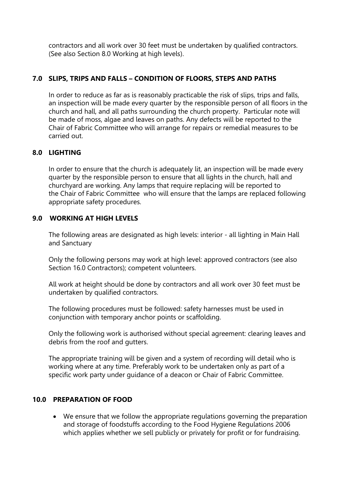contractors and all work over 30 feet must be undertaken by qualified contractors. (See also Section 8.0 Working at high levels).

# **7.0 SLIPS, TRIPS AND FALLS – CONDITION OF FLOORS, STEPS AND PATHS**

In order to reduce as far as is reasonably practicable the risk of slips, trips and falls, an inspection will be made every quarter by the responsible person of all floors in the church and hall, and all paths surrounding the church property. Particular note will be made of moss, algae and leaves on paths. Any defects will be reported to the Chair of Fabric Committee who will arrange for repairs or remedial measures to be carried out.

# **8.0 LIGHTING**

In order to ensure that the church is adequately lit, an inspection will be made every quarter by the responsible person to ensure that all lights in the church, hall and churchyard are working. Any lamps that require replacing will be reported to the Chair of Fabric Committee who will ensure that the lamps are replaced following appropriate safety procedures.

# **9.0 WORKING AT HIGH LEVELS**

The following areas are designated as high levels: interior - all lighting in Main Hall and Sanctuary

Only the following persons may work at high level: approved contractors (see also Section 16.0 Contractors); competent volunteers.

All work at height should be done by contractors and all work over 30 feet must be undertaken by qualified contractors.

The following procedures must be followed: safety harnesses must be used in conjunction with temporary anchor points or scaffolding.

Only the following work is authorised without special agreement: clearing leaves and debris from the roof and gutters.

The appropriate training will be given and a system of recording will detail who is working where at any time. Preferably work to be undertaken only as part of a specific work party under guidance of a deacon or Chair of Fabric Committee.

#### **10.0 PREPARATION OF FOOD**

• We ensure that we follow the appropriate regulations governing the preparation and storage of foodstuffs according to the Food Hygiene Regulations 2006 which applies whether we sell publicly or privately for profit or for fundraising.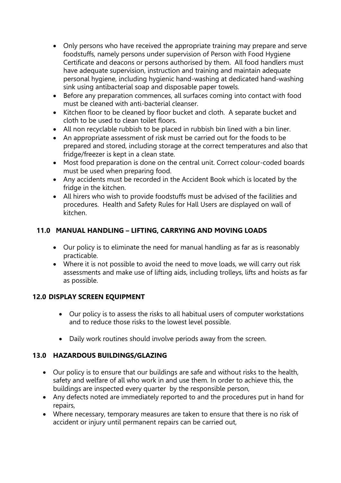- Only persons who have received the appropriate training may prepare and serve foodstuffs, namely persons under supervision of Person with Food Hygiene Certificate and deacons or persons authorised by them. All food handlers must have adequate supervision, instruction and training and maintain adequate personal hygiene, including hygienic hand-washing at dedicated hand-washing sink using antibacterial soap and disposable paper towels.
- Before any preparation commences, all surfaces coming into contact with food must be cleaned with anti-bacterial cleanser.
- Kitchen floor to be cleaned by floor bucket and cloth. A separate bucket and cloth to be used to clean toilet floors.
- All non recyclable rubbish to be placed in rubbish bin lined with a bin liner.
- An appropriate assessment of risk must be carried out for the foods to be prepared and stored, including storage at the correct temperatures and also that fridge/freezer is kept in a clean state.
- Most food preparation is done on the central unit. Correct colour-coded boards must be used when preparing food.
- Any accidents must be recorded in the Accident Book which is located by the fridge in the kitchen.
- All hirers who wish to provide foodstuffs must be advised of the facilities and procedures. Health and Safety Rules for Hall Users are displayed on wall of kitchen.

# **11.0 MANUAL HANDLING – LIFTING, CARRYING AND MOVING LOADS**

- Our policy is to eliminate the need for manual handling as far as is reasonably practicable.
- Where it is not possible to avoid the need to move loads, we will carry out risk assessments and make use of lifting aids, including trolleys, lifts and hoists as far as possible.

# **12.0 DISPLAY SCREEN EQUIPMENT**

- Our policy is to assess the risks to all habitual users of computer workstations and to reduce those risks to the lowest level possible.
- Daily work routines should involve periods away from the screen.

# **13.0 HAZARDOUS BUILDINGS/GLAZING**

- Our policy is to ensure that our buildings are safe and without risks to the health, safety and welfare of all who work in and use them. In order to achieve this, the buildings are inspected every quarter by the responsible person,
- Any defects noted are immediately reported to and the procedures put in hand for repairs,
- Where necessary, temporary measures are taken to ensure that there is no risk of accident or injury until permanent repairs can be carried out,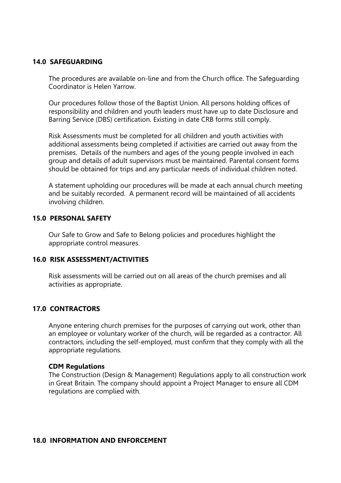#### **14.0 SAFEGUARDING**

The procedures are available on-line and from the Church office. The Safeguarding Coordinator is Helen Yarrow.

Our procedures follow those of the Baptist Union. All persons holding offices of responsibility and children and youth leaders must have up to date Disclosure and Barring Service (DBS) certification. Existing in date CRB forms still comply.

Risk Assessments must be completed for all children and youth activities with additional assessments being completed if activities are carried out away from the premises. Details of the numbers and ages of the young people involved in each group and details of adult supervisors must be maintained. Parental consent forms should be obtained for trips and any particular needs of individual children noted.

A statement upholding our procedures will be made at each annual church meeting and be suitably recorded. A permanent record will be maintained of all accidents involving children.

#### **15.0 PERSONAL SAFETY**

Our Safe to Grow and Safe to Belong policies and procedures highlight the appropriate control measures.

#### **16.0 RISK ASSESSMENT/ACTIVITIES**

Risk assessments will be carried out on all areas of the church premises and all activities as appropriate.

#### **17.0 CONTRACTORS**

Anyone entering church premises for the purposes of carrying out work, other than an employee or voluntary worker of the church, will be regarded as a contractor. All contractors, including the self-employed, must confirm that they comply with all the appropriate regulations.

#### **CDM Regulations**

The Construction (Design & Management) Regulations apply to all construction work in Great Britain. The company should appoint a Project Manager to ensure all CDM regulations are complied with.

#### **18.0 INFORMATION AND ENFORCEMENT**